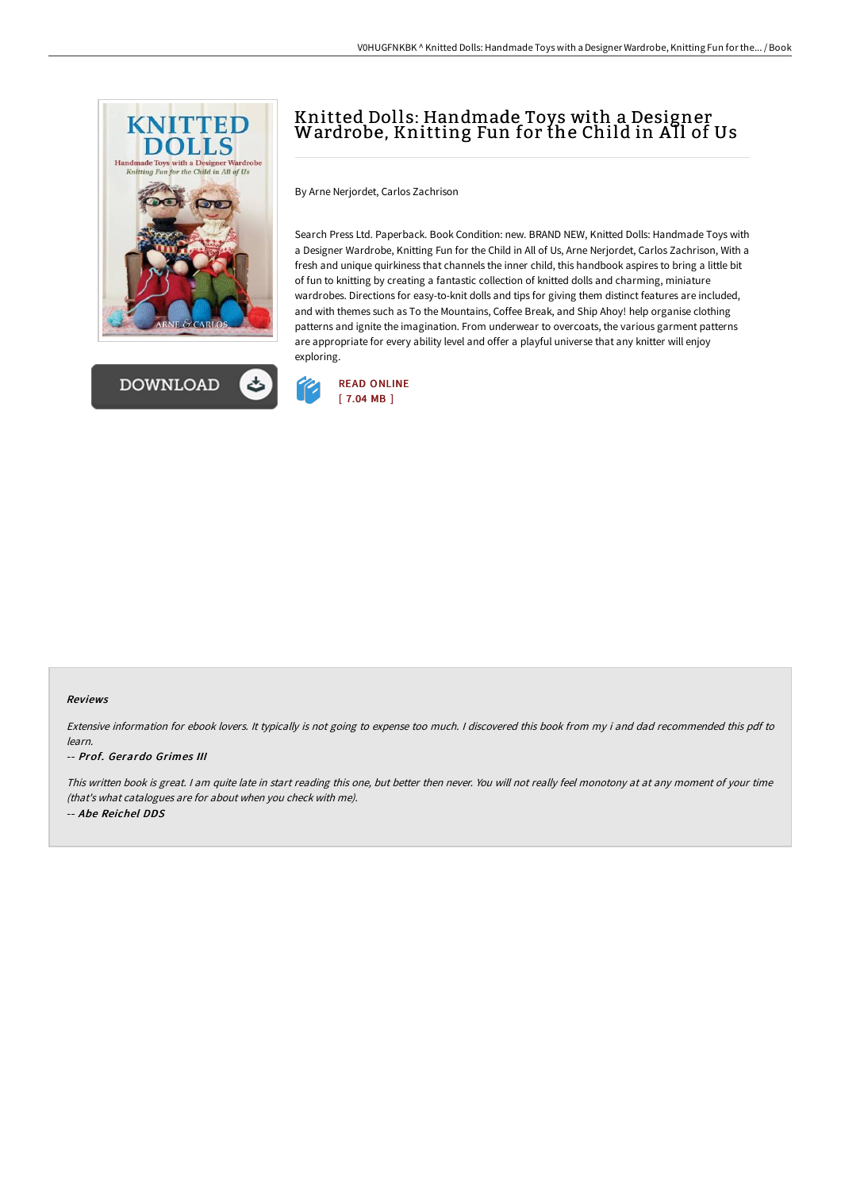



## Knitted Dolls: Handmade Toys with a Designer Wardrobe, Knitting Fun for the Child in AIl of Us

By Arne Nerjordet, Carlos Zachrison

Search Press Ltd. Paperback. Book Condition: new. BRAND NEW, Knitted Dolls: Handmade Toys with a Designer Wardrobe, Knitting Fun for the Child in All of Us, Arne Nerjordet, Carlos Zachrison, With a fresh and unique quirkiness that channels the inner child, this handbook aspires to bring a little bit of fun to knitting by creating a fantastic collection of knitted dolls and charming, miniature wardrobes. Directions for easy-to-knit dolls and tips for giving them distinct features are included, and with themes such as To the Mountains, Coffee Break, and Ship Ahoy! help organise clothing patterns and ignite the imagination. From underwear to overcoats, the various garment patterns are appropriate for every ability level and offer a playful universe that any knitter will enjoy exploring.



## Reviews

Extensive information for ebook lovers. It typically is not going to expense too much. <sup>I</sup> discovered this book from my i and dad recommended this pdf to learn.

## -- Prof. Gerardo Grimes III

This written book is great. <sup>I</sup> am quite late in start reading this one, but better then never. You will not really feel monotony at at any moment of your time (that's what catalogues are for about when you check with me). -- Abe Reichel DDS